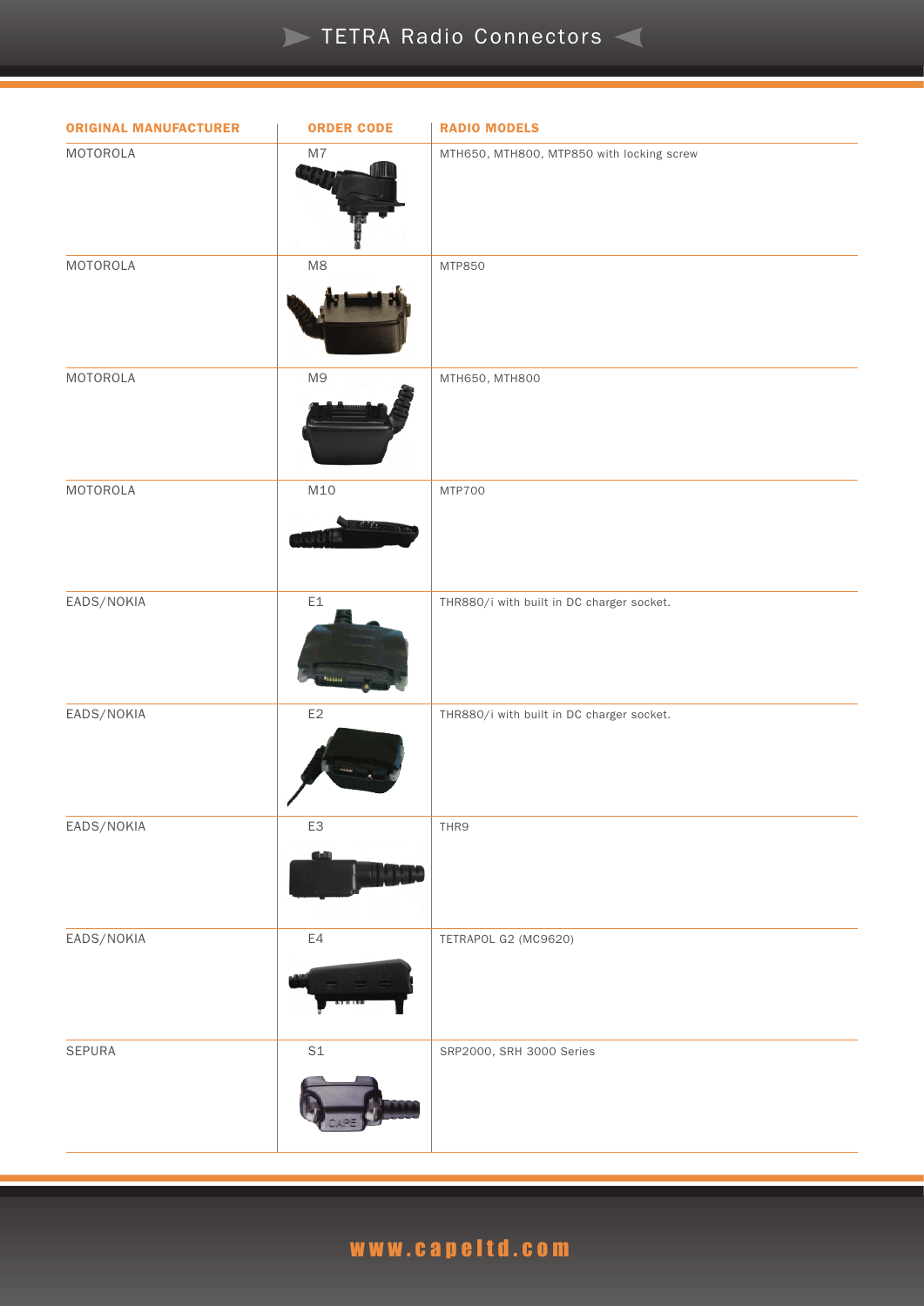#### **TETRA Radio Connectors**

| <b>ORIGINAL MANUFACTURER</b> | <b>ORDER CODE</b>            | <b>RADIO MODELS</b>                       |
|------------------------------|------------------------------|-------------------------------------------|
| MOTOROLA                     | $\mathsf{M}7$                | MTH650, MTH800, MTP850 with locking screw |
| MOTOROLA                     | $\ensuremath{\mathsf{M}}8$   | MTP850                                    |
| MOTOROLA                     | M9                           | MTH650, MTH800                            |
| MOTOROLA                     | M10<br><b>SNAMA (SNAMA</b>   | <b>MTP700</b>                             |
| EADS/NOKIA                   | $\mathsf{E} \mathbb{1}$<br>- | THR880/i with built in DC charger socket. |
| EADS/NOKIA                   | $\mathsf{E}2$                | THR880/i with built in DC charger socket. |
| EADS/NOKIA                   | E3                           | THR9                                      |
| EADS/NOKIA                   | E4                           | TETRAPOL G2 (MC9620)                      |
| SEPURA                       | $\mathsf{S1}$                | SRP2000, SRH 3000 Series                  |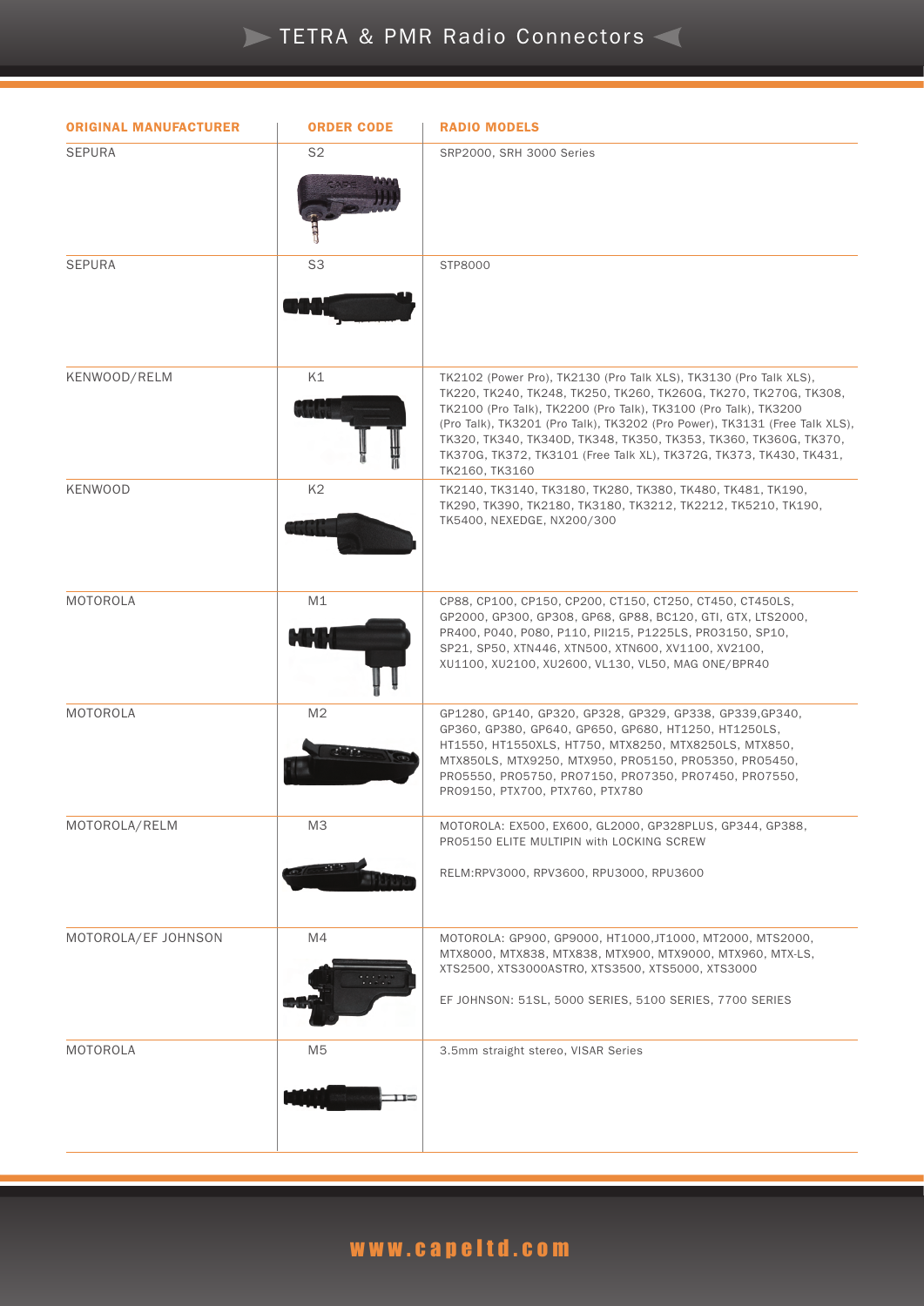### **TETRA & PMR Radio Connectors**

| <b>ORIGINAL MANUFACTURER</b> | <b>ORDER CODE</b> | <b>RADIO MODELS</b>                                                                                                                                                                                                                                                                                                                                                                                                                                |
|------------------------------|-------------------|----------------------------------------------------------------------------------------------------------------------------------------------------------------------------------------------------------------------------------------------------------------------------------------------------------------------------------------------------------------------------------------------------------------------------------------------------|
| <b>SEPURA</b>                | S2                | SRP2000, SRH 3000 Series                                                                                                                                                                                                                                                                                                                                                                                                                           |
| <b>SEPURA</b>                | S <sub>3</sub>    | STP8000                                                                                                                                                                                                                                                                                                                                                                                                                                            |
| KENWOOD/RELM                 | K1                | TK2102 (Power Pro), TK2130 (Pro Talk XLS), TK3130 (Pro Talk XLS),<br>TK220, TK240, TK248, TK250, TK260, TK260G, TK270, TK270G, TK308,<br>TK2100 (Pro Talk), TK2200 (Pro Talk), TK3100 (Pro Talk), TK3200<br>(Pro Talk), TK3201 (Pro Talk), TK3202 (Pro Power), TK3131 (Free Talk XLS),<br>TK320, TK340, TK340D, TK348, TK350, TK353, TK360, TK360G, TK370,<br>TK370G, TK372, TK3101 (Free Talk XL), TK372G, TK373, TK430, TK431,<br>TK2160, TK3160 |
| <b>KENWOOD</b>               | K <sub>2</sub>    | TK2140, TK3140, TK3180, TK280, TK380, TK480, TK481, TK190,<br>TK290, TK390, TK2180, TK3180, TK3212, TK2212, TK5210, TK190,<br>TK5400, NEXEDGE, NX200/300                                                                                                                                                                                                                                                                                           |
| MOTOROLA                     | M1                | CP88, CP100, CP150, CP200, CT150, CT250, CT450, CT450LS,<br>GP2000, GP300, GP308, GP68, GP88, BC120, GTI, GTX, LTS2000,<br>PR400, P040, P080, P110, PII215, P1225LS, PR03150, SP10,<br>SP21, SP50, XTN446, XTN500, XTN600, XV1100, XV2100,<br>XU1100, XU2100, XU2600, VL130, VL50, MAG ONE/BPR40                                                                                                                                                   |
| MOTOROLA                     | M <sub>2</sub>    | GP1280, GP140, GP320, GP328, GP329, GP338, GP339, GP340,<br>GP360, GP380, GP640, GP650, GP680, HT1250, HT1250LS,<br>HT1550, HT1550XLS, HT750, MTX8250, MTX8250LS, MTX850,<br>MTX850LS, MTX9250, MTX950, PR05150, PR05350, PR05450,<br>PR05550, PR05750, PR07150, PR07350, PR07450, PR07550,<br>PR09150, PTX700, PTX760, PTX780                                                                                                                     |
| MOTOROLA/RELM                | M3                | MOTOROLA: EX500, EX600, GL2000, GP328PLUS, GP344, GP388,<br>PRO5150 ELITE MULTIPIN with LOCKING SCREW<br>RELM:RPV3000, RPV3600, RPU3000, RPU3600                                                                                                                                                                                                                                                                                                   |
| MOTOROLA/EF JOHNSON          | M4                | MOTOROLA: GP900, GP9000, HT1000, JT1000, MT2000, MTS2000,<br>MTX8000, MTX838, MTX838, MTX900, MTX9000, MTX960, MTX-LS,<br>XTS2500, XTS3000ASTRO, XTS3500, XTS5000, XTS3000<br>EF JOHNSON: 51SL, 5000 SERIES, 5100 SERIES, 7700 SERIES                                                                                                                                                                                                              |
| MOTOROLA                     | M <sub>5</sub>    | 3.5mm straight stereo, VISAR Series                                                                                                                                                                                                                                                                                                                                                                                                                |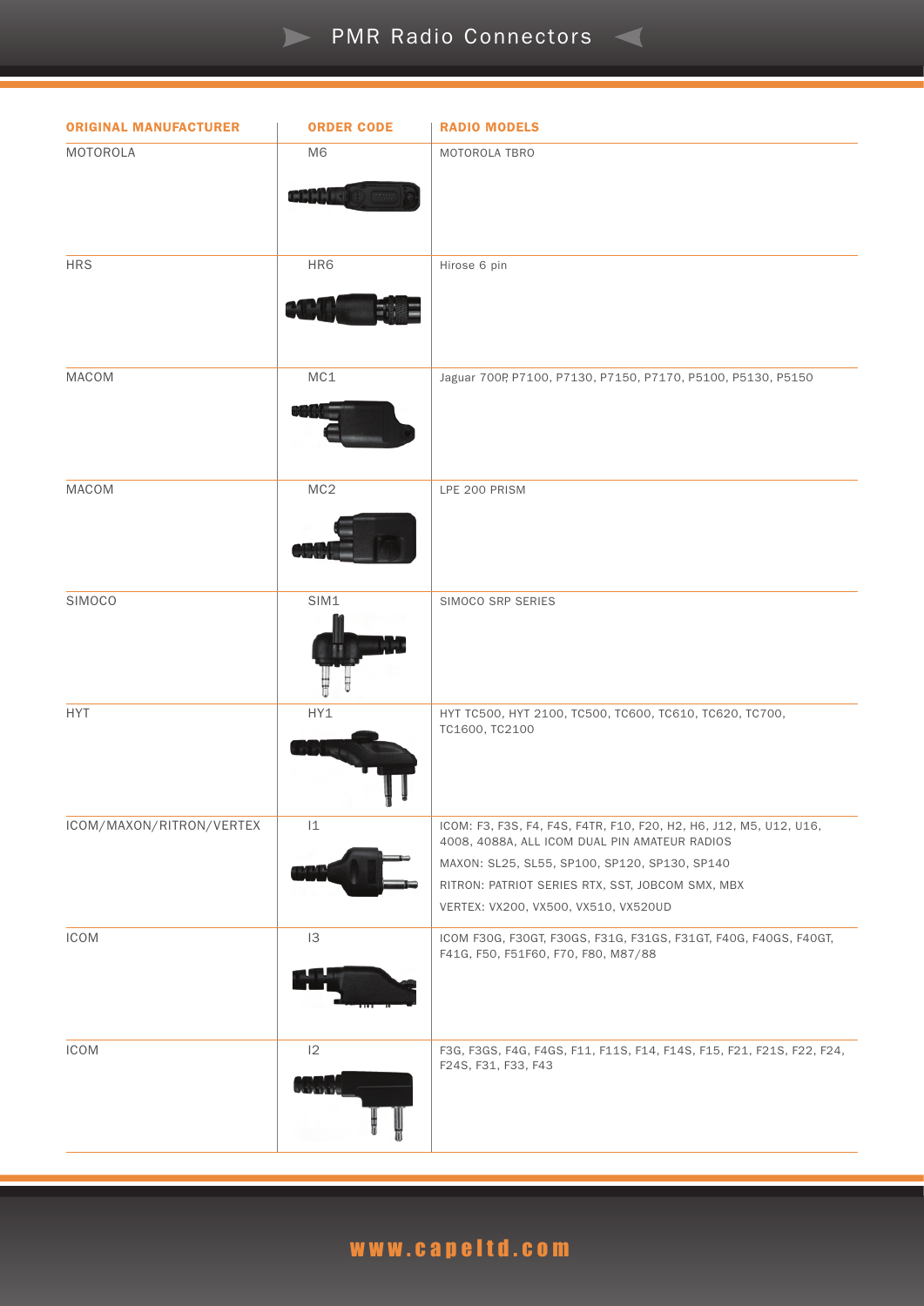#### **PMR Radio Connectors**

| <b>ORIGINAL MANUFACTURER</b> | <b>ORDER CODE</b>       | <b>RADIO MODELS</b>                                                                                                                                                                                                                                              |
|------------------------------|-------------------------|------------------------------------------------------------------------------------------------------------------------------------------------------------------------------------------------------------------------------------------------------------------|
| MOTOROLA                     | M <sub>6</sub><br>GREET | MOTOROLA TBRO                                                                                                                                                                                                                                                    |
| <b>HRS</b>                   | HR6                     | Hirose 6 pin                                                                                                                                                                                                                                                     |
| MACOM                        | MC1                     | Jaguar 700P, P7100, P7130, P7150, P7170, P5100, P5130, P5150                                                                                                                                                                                                     |
| <b>MACOM</b>                 | MC <sub>2</sub>         | LPE 200 PRISM                                                                                                                                                                                                                                                    |
| SIMOCO                       | SIM1                    | SIMOCO SRP SERIES                                                                                                                                                                                                                                                |
| <b>HYT</b>                   | HY1                     | HYT TC500, HYT 2100, TC500, TC600, TC610, TC620, TC700,<br>TC1600, TC2100                                                                                                                                                                                        |
| ICOM/MAXON/RITRON/VERTEX     | 1                       | ICOM: F3, F3S, F4, F4S, F4TR, F10, F20, H2, H6, J12, M5, U12, U16,<br>4008, 4088A, ALL ICOM DUAL PIN AMATEUR RADIOS<br>MAXON: SL25, SL55, SP100, SP120, SP130, SP140<br>RITRON: PATRIOT SERIES RTX, SST, JOBCOM SMX, MBX<br>VERTEX: VX200, VX500, VX510, VX520UD |
| ICOM                         | 13                      | ICOM F30G, F30GT, F30GS, F31G, F31GS, F31GT, F40G, F40GS, F40GT,<br>F41G, F50, F51F60, F70, F80, M87/88                                                                                                                                                          |
| ICOM                         | 12                      | F3G, F3GS, F4G, F4GS, F11, F11S, F14, F14S, F15, F21, F21S, F22, F24,<br>F24S, F31, F33, F43                                                                                                                                                                     |